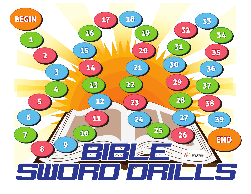